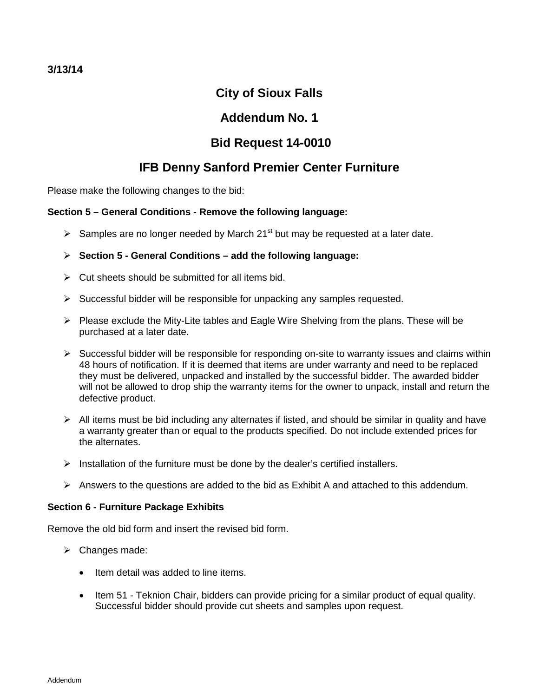# **City of Sioux Falls**

# **Addendum No. 1**

# **Bid Request 14-0010**

# **IFB Denny Sanford Premier Center Furniture**

Please make the following changes to the bid:

# **Section 5 – General Conditions - Remove the following language:**

Samples are no longer needed by March 21<sup>st</sup> but may be requested at a later date.

# **Section 5 - General Conditions – add the following language:**

- $\triangleright$  Cut sheets should be submitted for all items bid.
- $\triangleright$  Successful bidder will be responsible for unpacking any samples requested.
- $\triangleright$  Please exclude the Mity-Lite tables and Eagle Wire Shelving from the plans. These will be purchased at a later date.
- $\triangleright$  Successful bidder will be responsible for responding on-site to warranty issues and claims within 48 hours of notification. If it is deemed that items are under warranty and need to be replaced they must be delivered, unpacked and installed by the successful bidder. The awarded bidder will not be allowed to drop ship the warranty items for the owner to unpack, install and return the defective product.
- $\triangleright$  All items must be bid including any alternates if listed, and should be similar in quality and have a warranty greater than or equal to the products specified. Do not include extended prices for the alternates.
- $\triangleright$  Installation of the furniture must be done by the dealer's certified installers.
- $\triangleright$  Answers to the questions are added to the bid as Exhibit A and attached to this addendum.

## **Section 6 - Furniture Package Exhibits**

Remove the old bid form and insert the revised bid form.

- $\triangleright$  Changes made:
	- Item detail was added to line items.
	- Item 51 Teknion Chair, bidders can provide pricing for a similar product of equal quality. Successful bidder should provide cut sheets and samples upon request.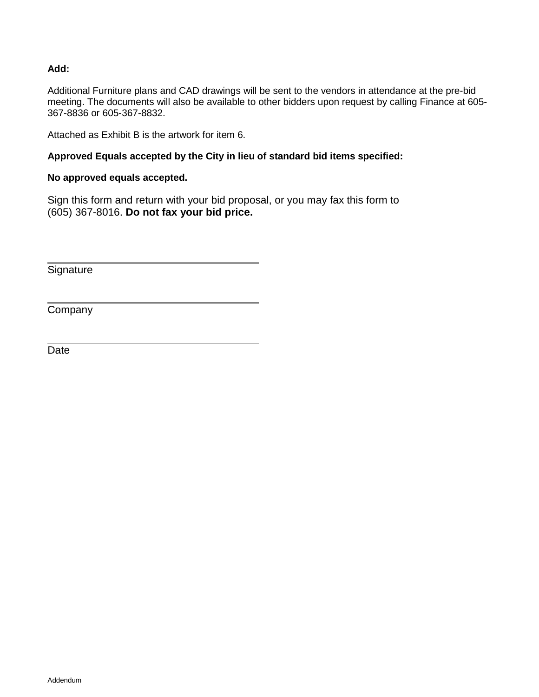## **Add:**

Additional Furniture plans and CAD drawings will be sent to the vendors in attendance at the pre-bid meeting. The documents will also be available to other bidders upon request by calling Finance at 605- 367-8836 or 605-367-8832.

Attached as Exhibit B is the artwork for item 6.

## **Approved Equals accepted by the City in lieu of standard bid items specified:**

## **No approved equals accepted.**

Sign this form and return with your bid proposal, or you may fax this form to (605) 367-8016. **Do not fax your bid price.**

**Signature** 

**Company** 

Date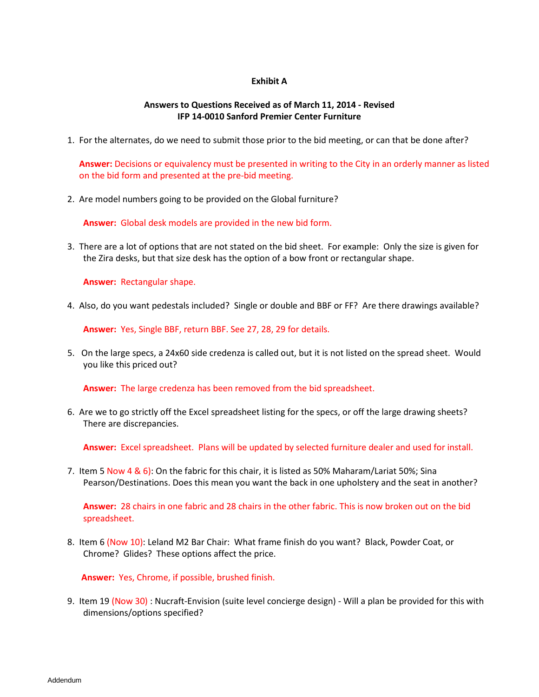#### **Exhibit A**

#### **Answers to Questions Received as of March 11, 2014 - Revised IFP 14-0010 Sanford Premier Center Furniture**

1. For the alternates, do we need to submit those prior to the bid meeting, or can that be done after?

**Answer:** Decisions or equivalency must be presented in writing to the City in an orderly manner as listed on the bid form and presented at the pre-bid meeting.

2. Are model numbers going to be provided on the Global furniture?

**Answer:** Global desk models are provided in the new bid form.

3. There are a lot of options that are not stated on the bid sheet. For example: Only the size is given for the Zira desks, but that size desk has the option of a bow front or rectangular shape.

**Answer:** Rectangular shape.

4. Also, do you want pedestals included? Single or double and BBF or FF? Are there drawings available?

**Answer:** Yes, Single BBF, return BBF. See 27, 28, 29 for details.

5. On the large specs, a 24x60 side credenza is called out, but it is not listed on the spread sheet. Would you like this priced out?

**Answer:** The large credenza has been removed from the bid spreadsheet.

6. Are we to go strictly off the Excel spreadsheet listing for the specs, or off the large drawing sheets? There are discrepancies.

**Answer:** Excel spreadsheet. Plans will be updated by selected furniture dealer and used for install.

7. Item 5 Now 4 & 6): On the fabric for this chair, it is listed as 50% Maharam/Lariat 50%; Sina Pearson/Destinations. Does this mean you want the back in one upholstery and the seat in another?

**Answer:** 28 chairs in one fabric and 28 chairs in the other fabric. This is now broken out on the bid spreadsheet.

8. Item 6 (Now 10): Leland M2 Bar Chair: What frame finish do you want? Black, Powder Coat, or Chrome? Glides? These options affect the price.

**Answer:** Yes, Chrome, if possible, brushed finish.

9. Item 19 (Now 30) : Nucraft-Envision (suite level concierge design) - Will a plan be provided for this with dimensions/options specified?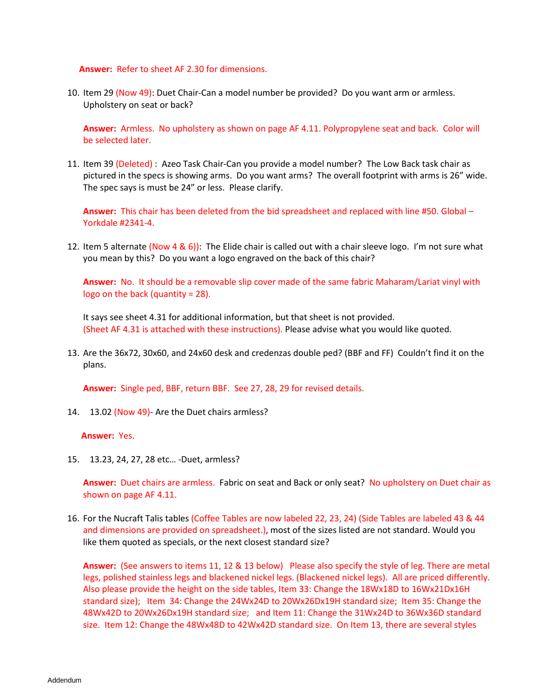#### **Answer:** Refer to sheet AF 2.30 for dimensions.

10. Item 29 (Now 49): Duet Chair-Can a model number be provided? Do you want arm or armless. Upholstery on seat or back?

**Answer:** Armless. No upholstery as shown on page AF 4.11. Polypropylene seat and back. Color will be selected later.

11. Item 39 (Deleted) : Azeo Task Chair-Can you provide a model number? The Low Back task chair as pictured in the specs is showing arms. Do you want arms? The overall footprint with arms is 26" wide. The spec says is must be 24" or less. Please clarify.

**Answer:** This chair has been deleted from the bid spreadsheet and replaced with line #50. Global – Yorkdale #2341-4.

12. Item 5 alternate (Now 4 & 6)): The Elide chair is called out with a chair sleeve logo. I'm not sure what you mean by this? Do you want a logo engraved on the back of this chair?

**Answer:** No. It should be a removable slip cover made of the same fabric Maharam/Lariat vinyl with logo on the back (quantity = 28).

It says see sheet 4.31 for additional information, but that sheet is not provided. (Sheet AF 4.31 is attached with these instructions). Please advise what you would like quoted.

13. Are the 36x72, 30x60, and 24x60 desk and credenzas double ped? (BBF and FF) Couldn't find it on the plans.

**Answer:** Single ped, BBF, return BBF. See 27, 28, 29 for revised details.

14. 13.02 (Now 49)- Are the Duet chairs armless?

**Answer:** Yes.

15. 13.23, 24, 27, 28 etc… -Duet, armless?

**Answer:** Duet chairs are armless. Fabric on seat and Back or only seat? No upholstery on Duet chair as shown on page AF 4.11.

16. For the Nucraft Talis tables (Coffee Tables are now labeled 22, 23, 24) (Side Tables are labeled 43 & 44 and dimensions are provided on spreadsheet.), most of the sizes listed are not standard. Would you like them quoted as specials, or the next closest standard size?

**Answer:** (See answers to items 11, 12 & 13 below) Please also specify the style of leg. There are metal legs, polished stainless legs and blackened nickel legs. (Blackened nickel legs). All are priced differently. Also please provide the height on the side tables, Item 33: Change the 18Wx18D to 16Wx21Dx16H standard size); Item 34: Change the 24Wx24D to 20Wx26Dx19H standard size; Item 35: Change the 48Wx42D to 20Wx26Dx19H standard size; and Item 11: Change the 31Wx24D to 36Wx36D standard size. Item 12: Change the 48Wx48D to 42Wx42D standard size. On Item 13, there are several styles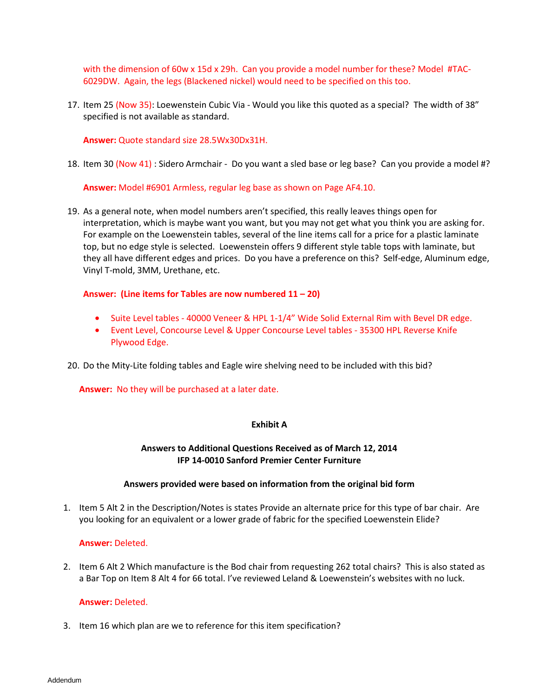with the dimension of 60w x 15d x 29h. Can you provide a model number for these? Model #TAC-6029DW. Again, the legs (Blackened nickel) would need to be specified on this too.

17. Item 25 (Now 35): Loewenstein Cubic Via - Would you like this quoted as a special? The width of 38" specified is not available as standard.

**Answer:** Quote standard size 28.5Wx30Dx31H.

18. Item 30 (Now 41) : Sidero Armchair - Do you want a sled base or leg base? Can you provide a model #?

**Answer:** Model #6901 Armless, regular leg base as shown on Page AF4.10.

19. As a general note, when model numbers aren't specified, this really leaves things open for interpretation, which is maybe want you want, but you may not get what you think you are asking for. For example on the Loewenstein tables, several of the line items call for a price for a plastic laminate top, but no edge style is selected. Loewenstein offers 9 different style table tops with laminate, but they all have different edges and prices. Do you have a preference on this? Self-edge, Aluminum edge, Vinyl T-mold, 3MM, Urethane, etc.

#### **Answer: (Line items for Tables are now numbered 11 – 20)**

- Suite Level tables 40000 Veneer & HPL 1-1/4" Wide Solid External Rim with Bevel DR edge.
- Event Level, Concourse Level & Upper Concourse Level tables 35300 HPL Reverse Knife Plywood Edge.

20. Do the Mity-Lite folding tables and Eagle wire shelving need to be included with this bid?

**Answer:** No they will be purchased at a later date.

### **Exhibit A**

## **Answers to Additional Questions Received as of March 12, 2014 IFP 14-0010 Sanford Premier Center Furniture**

### **Answers provided were based on information from the original bid form**

1. Item 5 Alt 2 in the Description/Notes is states Provide an alternate price for this type of bar chair. Are you looking for an equivalent or a lower grade of fabric for the specified Loewenstein Elide?

#### **Answer:** Deleted.

2. Item 6 Alt 2 Which manufacture is the Bod chair from requesting 262 total chairs? This is also stated as a Bar Top on Item 8 Alt 4 for 66 total. I've reviewed Leland & Loewenstein's websites with no luck.

### **Answer:** Deleted.

3. Item 16 which plan are we to reference for this item specification?